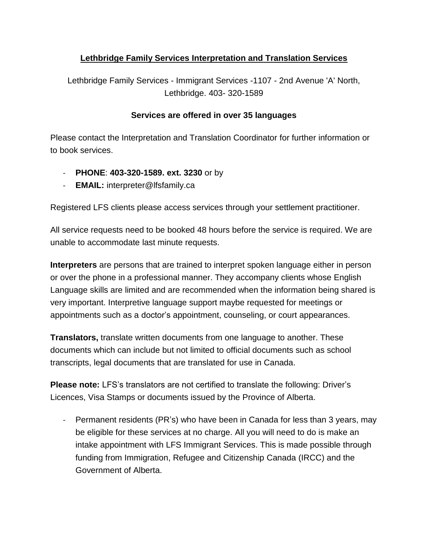## **Lethbridge Family Services Interpretation and Translation Services**

Lethbridge Family Services - Immigrant Services -1107 - 2nd Avenue 'A' North, Lethbridge. 403- 320-1589

## **Services are offered in over 35 languages**

Please contact the Interpretation and Translation Coordinator for further information or to book services.

- **PHONE**: **403-320-1589. ext. 3230** or by
- **EMAIL:** [interpreter@lfsfamily.ca](mailto:interpreter@lfsfamily.ca)

Registered LFS clients please access services through your settlement practitioner.

All service requests need to be booked 48 hours before the service is required. We are unable to accommodate last minute requests.

**Interpreters** are persons that are trained to interpret spoken language either in person or over the phone in a professional manner. They accompany clients whose English Language skills are limited and are recommended when the information being shared is very important. Interpretive language support maybe requested for meetings or appointments such as a doctor's appointment, counseling, or court appearances.

**Translators,** translate written documents from one language to another. These documents which can include but not limited to official documents such as school transcripts, legal documents that are translated for use in Canada.

**Please note:** LFS's translators are not certified to translate the following: Driver's Licences, Visa Stamps or documents issued by the Province of Alberta.

- Permanent residents (PR's) who have been in Canada for less than 3 years, may be eligible for these services at no charge. All you will need to do is make an intake appointment with LFS Immigrant Services. This is made possible through funding from Immigration, Refugee and Citizenship Canada (IRCC) and the Government of Alberta.